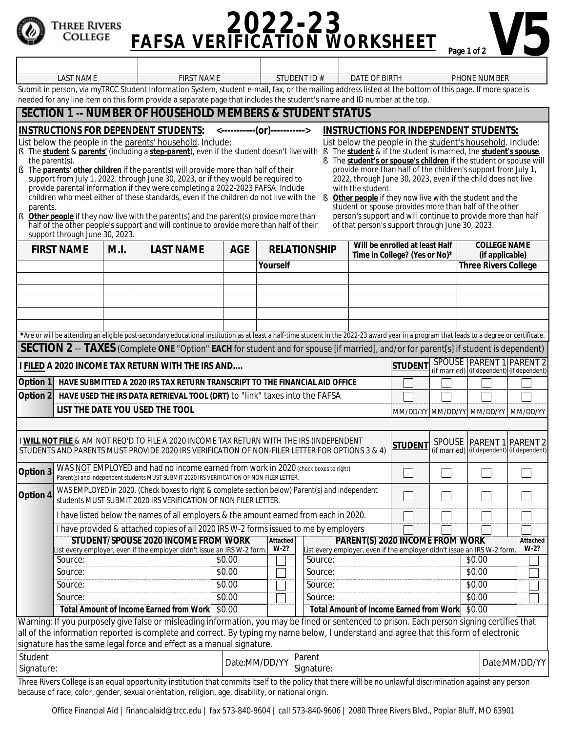## **PAFSA VERIFICATION WORKSHEET** Page 1 of 2 'hree Rivers COLLEGE LAST NAME FIRST NAME FIRST NAME STUDENT ID # DATE OF BIRTH PHONE NUMBER

Submit in person, via myTRCC Student Information System, student e-mail, fax, or the mailing address listed at the bottom of this page. If more space is needed for any line item on this form provide a separate page that includes the student's name and ID number at the top.

## **SECTION 1 -- NUMBER OF HOUSEHOLD MEMBERS & STUDENT STATUS**

**INSTRUCTIONS FOR** *DEPENDENT* **STUDENTS: <-----------(or)----------->**

List below the people in the parents' household. Include:

- § The *student* & *parents'* (including a *step-parent*), even if the student doesn't live with § The *student* & if the student is married, the *student's spouse*. the parent(s).
- The *parents' other children* if the parent(s) will provide more than half of their support from July 1, 2022, through June 30, 2023, or if they would be required to provide parental information if they were completing a 2022-2023 FAFSA. Include children who meet either of these standards, even if the children do not live with the parents.
	- 2022, through June 30, 2023, even if the child does not live with the student. **Other people** if they now live with the student and the student or spouse provides more than half of the other person's support and will continue to provide more than half of that person's support through June 30, 2023.

**INSTRUCTIONS FOR** *INDEPENDENT* **STUDENTS:**  List below the people in the student's household. Include: § The *student's or spouse's children* if the student or spouse will provide more than half of the children's support from July 1,

**§** *Other people* if they now live with the parent(s) and the parent(s) provide more than half of the other people's support and will continue to provide more than half of their support through June 30, 2023. **FIRST NAME M.I. LAST NAME AGE RELATIONSHIP Will be enrolled at least Half** 

because of race, color, gender, sexual orientation, religion, age, disability, or national origin.

| <b>FIRST NAME</b>                                                                                                                                                                                                                                                                           |                                                                                                                                                                                 | M.I.                                                                                                                                                               | <b>LAST NAME</b>                                                                                                                                                                           | <b>AGE</b>                            |          | <b>RELATIONSHIP</b>                                                               | Will be enrolled at least Half<br>Time in College? (Yes or No)* |                |                          | <b>COLLEGE NAME</b><br>(if applicable)     |          |
|---------------------------------------------------------------------------------------------------------------------------------------------------------------------------------------------------------------------------------------------------------------------------------------------|---------------------------------------------------------------------------------------------------------------------------------------------------------------------------------|--------------------------------------------------------------------------------------------------------------------------------------------------------------------|--------------------------------------------------------------------------------------------------------------------------------------------------------------------------------------------|---------------------------------------|----------|-----------------------------------------------------------------------------------|-----------------------------------------------------------------|----------------|--------------------------|--------------------------------------------|----------|
|                                                                                                                                                                                                                                                                                             |                                                                                                                                                                                 |                                                                                                                                                                    |                                                                                                                                                                                            |                                       | Yourself |                                                                                   |                                                                 |                | $\blacktriangledown$     | <b>Three Rivers College</b>                |          |
|                                                                                                                                                                                                                                                                                             |                                                                                                                                                                                 |                                                                                                                                                                    |                                                                                                                                                                                            |                                       |          |                                                                                   |                                                                 |                | $\overline{\phantom{0}}$ |                                            |          |
|                                                                                                                                                                                                                                                                                             |                                                                                                                                                                                 |                                                                                                                                                                    |                                                                                                                                                                                            |                                       |          |                                                                                   |                                                                 |                |                          |                                            |          |
|                                                                                                                                                                                                                                                                                             |                                                                                                                                                                                 |                                                                                                                                                                    |                                                                                                                                                                                            |                                       |          |                                                                                   |                                                                 |                | $\overline{\phantom{0}}$ |                                            |          |
|                                                                                                                                                                                                                                                                                             |                                                                                                                                                                                 |                                                                                                                                                                    |                                                                                                                                                                                            |                                       |          |                                                                                   |                                                                 |                | $\blacktriangledown$     |                                            |          |
|                                                                                                                                                                                                                                                                                             |                                                                                                                                                                                 |                                                                                                                                                                    |                                                                                                                                                                                            |                                       |          |                                                                                   |                                                                 |                |                          |                                            |          |
|                                                                                                                                                                                                                                                                                             |                                                                                                                                                                                 |                                                                                                                                                                    | *Are or will be attending an eligible post-secondary educational institution as at least a half-time student in the 2022-23 award year in a program that leads to a degree or certificate. |                                       |          |                                                                                   |                                                                 |                |                          |                                            |          |
| SECTION 2 -- TAXES (Complete ONE "Option" EACH for student and for spouse [if married], and/or for parent[s] if student is dependent)                                                                                                                                                       |                                                                                                                                                                                 |                                                                                                                                                                    |                                                                                                                                                                                            |                                       |          |                                                                                   |                                                                 |                |                          |                                            |          |
| I FILED A 2020 INCOME TAX RETURN WITH THE IRS AND                                                                                                                                                                                                                                           |                                                                                                                                                                                 |                                                                                                                                                                    |                                                                                                                                                                                            |                                       |          |                                                                                   |                                                                 | <b>STUDENT</b> | <b>SPOUSE</b>            | <b>PARENT 1 PARENT 2</b>                   |          |
| Option 1                                                                                                                                                                                                                                                                                    |                                                                                                                                                                                 |                                                                                                                                                                    |                                                                                                                                                                                            |                                       |          |                                                                                   |                                                                 |                |                          | (if married) (if dependent) (if dependent) |          |
| Option 2                                                                                                                                                                                                                                                                                    | HAVE SUBMITTED A 2020 IRS TAX RETURN TRANSCRIPT TO THE FINANCIAL AID OFFICE<br>HAVE USED THE IRS DATA RETRIEVAL TOOL (DRT) to "link" taxes into the FAFSA                       |                                                                                                                                                                    |                                                                                                                                                                                            |                                       |          |                                                                                   |                                                                 |                |                          |                                            |          |
|                                                                                                                                                                                                                                                                                             | LIST THE DATE YOU USED THE TOOL<br>MM/DD/YY MM/DD/YY MM/DD/YY MM/DD/YY                                                                                                          |                                                                                                                                                                    |                                                                                                                                                                                            |                                       |          |                                                                                   |                                                                 |                |                          |                                            |          |
|                                                                                                                                                                                                                                                                                             |                                                                                                                                                                                 |                                                                                                                                                                    |                                                                                                                                                                                            |                                       |          |                                                                                   |                                                                 |                |                          |                                            |          |
|                                                                                                                                                                                                                                                                                             |                                                                                                                                                                                 |                                                                                                                                                                    |                                                                                                                                                                                            |                                       |          |                                                                                   |                                                                 |                |                          |                                            |          |
| I WILL NOT FILE & AM NOT REQ'D TO FILE A 2020 INCOME TAX RETURN WITH THE IRS (INDEPENDENT<br>SPOUSE   PARENT 1   PARENT 2<br><b>STUDENT</b><br>(if married) (if dependent) (if dependent)<br>STUDENTS AND PARENTS MUST PROVIDE 2020 IRS VERIFICATION OF NON-FILER LETTER FOR OPTIONS 3 & 4) |                                                                                                                                                                                 |                                                                                                                                                                    |                                                                                                                                                                                            |                                       |          |                                                                                   |                                                                 |                |                          |                                            |          |
|                                                                                                                                                                                                                                                                                             |                                                                                                                                                                                 |                                                                                                                                                                    |                                                                                                                                                                                            |                                       |          |                                                                                   |                                                                 |                |                          |                                            |          |
| Option 3                                                                                                                                                                                                                                                                                    | WAS NOT EMPLOYED and had no income earned from work in 2020 (check boxes to right)<br>Parent(s) and independent students MUST SUBMIT 2020 IRS VERIFICATION OF NON-FILER LETTER. |                                                                                                                                                                    |                                                                                                                                                                                            |                                       |          |                                                                                   |                                                                 |                |                          |                                            |          |
| Option 4                                                                                                                                                                                                                                                                                    |                                                                                                                                                                                 | WAS EMPLOYED in 2020. (Check boxes to right & complete section below) Parent(s) and independent<br>students MUST SUBMIT 2020 IRS VERIFICATION OF NON FILER LETTER. |                                                                                                                                                                                            |                                       |          |                                                                                   |                                                                 |                |                          |                                            |          |
|                                                                                                                                                                                                                                                                                             |                                                                                                                                                                                 |                                                                                                                                                                    | I have listed below the names of all employers & the amount earned from each in 2020.                                                                                                      |                                       |          |                                                                                   |                                                                 |                |                          |                                            |          |
|                                                                                                                                                                                                                                                                                             |                                                                                                                                                                                 |                                                                                                                                                                    | I have provided & attached copies of all 2020 IRS W-2 forms issued to me by employers                                                                                                      |                                       |          |                                                                                   |                                                                 |                |                          |                                            |          |
|                                                                                                                                                                                                                                                                                             |                                                                                                                                                                                 |                                                                                                                                                                    | STUDENT/SPOUSE 2020 INCOME FROM WORK                                                                                                                                                       |                                       | Attached |                                                                                   | PARENT(S) 2020 INCOME FROM WORK                                 |                |                          |                                            | Attached |
|                                                                                                                                                                                                                                                                                             | Source:                                                                                                                                                                         |                                                                                                                                                                    | List every employer, even if the employer didn't issue an IRS W-2 form.                                                                                                                    | \$0.00                                | $W-2?$   | ist every employer, even if the employer didn't issue an IRS W-2 form.<br>Source: |                                                                 |                |                          | \$0.00                                     | $W-2?$   |
|                                                                                                                                                                                                                                                                                             | Source:                                                                                                                                                                         |                                                                                                                                                                    |                                                                                                                                                                                            | \$0.00                                |          | Source:                                                                           |                                                                 |                |                          | \$0.00                                     |          |
|                                                                                                                                                                                                                                                                                             | Source:                                                                                                                                                                         |                                                                                                                                                                    |                                                                                                                                                                                            | \$0.00                                |          | Source:                                                                           |                                                                 |                |                          | \$0.00                                     |          |
|                                                                                                                                                                                                                                                                                             | Source:                                                                                                                                                                         |                                                                                                                                                                    |                                                                                                                                                                                            | \$0.00                                |          | Source:                                                                           |                                                                 |                |                          | \$0.00                                     |          |
|                                                                                                                                                                                                                                                                                             |                                                                                                                                                                                 |                                                                                                                                                                    | <b>Total Amount of Income Earned from Work</b>                                                                                                                                             | \$0.00                                |          |                                                                                   | <b>Total Amount of Income Earned from Work</b>                  |                |                          | \$0.00                                     |          |
|                                                                                                                                                                                                                                                                                             |                                                                                                                                                                                 |                                                                                                                                                                    |                                                                                                                                                                                            |                                       |          |                                                                                   |                                                                 |                |                          |                                            |          |
| Warning: If you purposely give false or misleading information, you may be fined or sentenced to prison. Each person signing certifies that<br>all of the information reported is complete and correct. By typing my name below, I understand and agree that this form of electronic        |                                                                                                                                                                                 |                                                                                                                                                                    |                                                                                                                                                                                            |                                       |          |                                                                                   |                                                                 |                |                          |                                            |          |
|                                                                                                                                                                                                                                                                                             |                                                                                                                                                                                 |                                                                                                                                                                    | signature has the same legal force and effect as a manual signature.                                                                                                                       |                                       |          |                                                                                   |                                                                 |                |                          |                                            |          |
| Student                                                                                                                                                                                                                                                                                     |                                                                                                                                                                                 |                                                                                                                                                                    |                                                                                                                                                                                            | Parent<br>Date:MM/DD/YY<br>Signature: |          |                                                                                   |                                                                 |                |                          |                                            |          |
| Signature:                                                                                                                                                                                                                                                                                  |                                                                                                                                                                                 |                                                                                                                                                                    |                                                                                                                                                                                            |                                       |          |                                                                                   |                                                                 |                |                          | Date:MM/DD/YY                              |          |
| Three Rivers College is an equal opportunity institution that commits itself to the policy that there will be no unlawful discrimination against any person                                                                                                                                 |                                                                                                                                                                                 |                                                                                                                                                                    |                                                                                                                                                                                            |                                       |          |                                                                                   |                                                                 |                |                          |                                            |          |